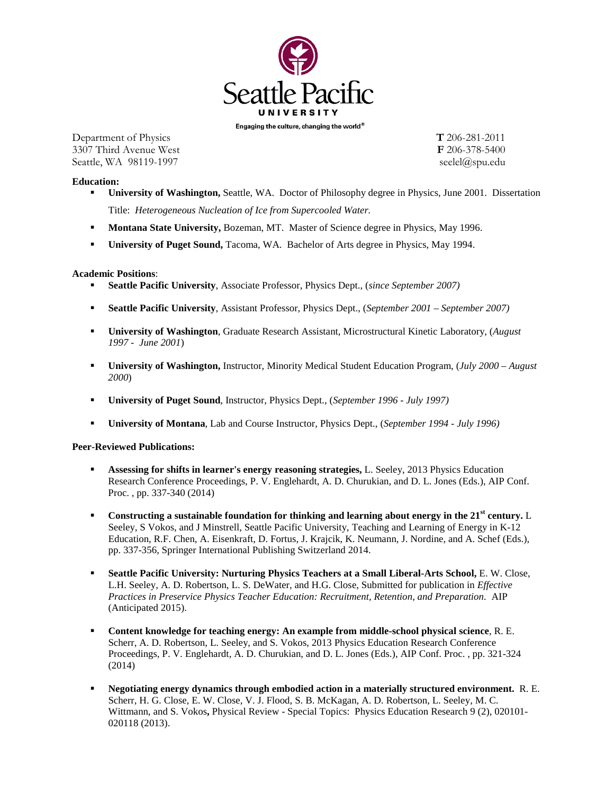

Engaging the culture, changing the world  $^{\circ}$ 

Department of Physics **T** 206-281-2011 3307 Third Avenue West **F** 206-378-5400 Seattle, WA 98119-1997 seelel@spu.edu

**Education:**

- **University of Washington,** Seattle, WA. Doctor of Philosophy degree in Physics, June 2001. Dissertation Title: *Heterogeneous Nucleation of Ice from Supercooled Water.*
- **Montana State University, Bozeman, MT. Master of Science degree in Physics, May 1996.**
- **University of Puget Sound,** Tacoma, WA. Bachelor of Arts degree in Physics, May 1994.

## **Academic Positions**:

- **Seattle Pacific University**, Associate Professor, Physics Dept., (*since September 2007)*
- **Seattle Pacific University**, Assistant Professor, Physics Dept., (*September 2001 September 2007)*
- **University of Washington**, Graduate Research Assistant, Microstructural Kinetic Laboratory, (*August 1997 - June 2001*)
- **University of Washington,** Instructor, Minority Medical Student Education Program, (*July 2000 August 2000*)
- **University of Puget Sound**, Instructor, Physics Dept., (*September 1996 July 1997)*
- **University of Montana**, Lab and Course Instructor, Physics Dept., (*September 1994 July 1996)*

**Peer-Reviewed Publications:**

- **Assessing for shifts in learner's energy reasoning strategies,** L. Seeley, 2013 Physics Education Research Conference Proceedings, P. V. Englehardt, A. D. Churukian, and D. L. Jones (Eds.), AIP Conf. Proc. , pp. 337-340 (2014)
- **Constructing a sustainable foundation for thinking and learning about energy in the 21st century.** L Seeley, S Vokos, and J Minstrell, Seattle Pacific University, Teaching and Learning of Energy in K-12 Education, R.F. Chen, A. Eisenkraft, D. Fortus, J. Krajcik, K. Neumann, J. Nordine, and A. Schef (Eds.), pp. 337-356, Springer International Publishing Switzerland 2014.
- **Seattle Pacific University: Nurturing Physics Teachers at a Small Liberal-Arts School, E. W. Close,** L.H. Seeley, A. D. Robertson, L. S. DeWater, and H.G. Close, Submitted for publication in *Effective Practices in Preservice Physics Teacher Education: Recruitment, Retention, and Preparation.* AIP (Anticipated 2015).
- **Content knowledge for teaching energy: An example from middle-school physical science**, R. E. Scherr, A. D. Robertson, L. Seeley, and S. Vokos, 2013 Physics Education Research Conference Proceedings, P. V. Englehardt, A. D. Churukian, and D. L. Jones (Eds.), AIP Conf. Proc. , pp. 321-324 (2014)
- **Negotiating energy dynamics through embodied action in a materially structured environment.** R. E. Scherr, H. G. Close, E. W. Close, V. J. Flood, S. B. McKagan, A. D. Robertson, L. Seeley, M. C. Wittmann, and S. Vokos**,** Physical Review - Special Topics: Physics Education Research 9 (2), 020101- 020118 (2013).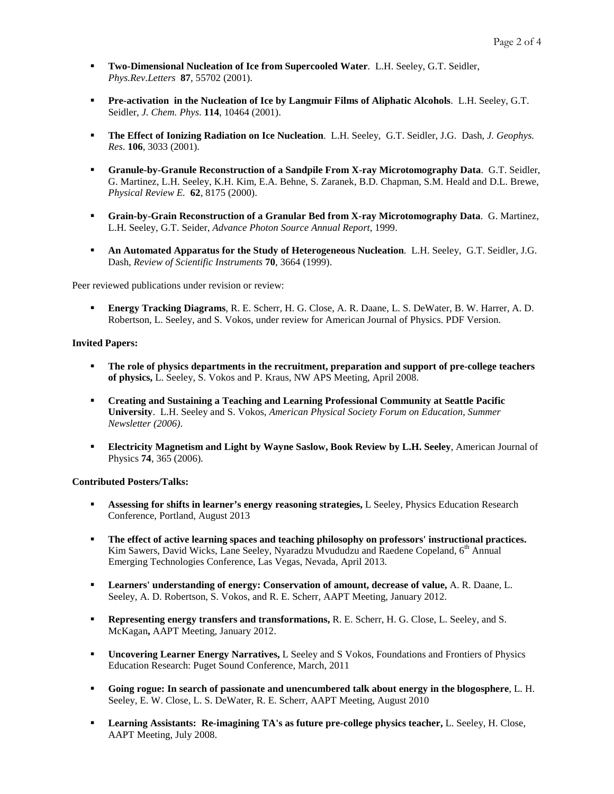- **Two-Dimensional Nucleation of Ice from Supercooled Water**. L.H. Seeley, G.T. Seidler, *Phys.Rev.Letters* **87**, 55702 (2001).
- **Pre-activation in the Nucleation of Ice by Langmuir Films of Aliphatic Alcohols.** L.H. Seeley, G.T. Seidler, *J. Chem. Phys*. **114**, 10464 (2001).
- **The Effect of Ionizing Radiation on Ice Nucleation**. L.H. Seeley, G.T. Seidler, J.G. Dash, *J. Geophys. Res*. **106**, 3033 (2001).
- **Granule-by-Granule Reconstruction of a Sandpile From X-ray Microtomography Data**. G.T. Seidler, G. Martinez, L.H. Seeley, K.H. Kim, E.A. Behne, S. Zaranek, B.D. Chapman, S.M. Heald and D.L. Brewe, *Physical Review E.* **62**, 8175 (2000).
- **Grain-by-Grain Reconstruction of a Granular Bed from X-ray Microtomography Data**. G. Martinez, L.H. Seeley, G.T. Seider, *Advance Photon Source Annual Report*, 1999.
- **An Automated Apparatus for the Study of Heterogeneous Nucleation**. L.H. Seeley, G.T. Seidler, J.G. Dash, *Review of Scientific Instruments* **70**, 3664 (1999).

Peer reviewed publications under revision or review:

 **Energy Tracking Diagrams**, R. E. Scherr, H. G. Close, A. R. Daane, L. S. DeWater, B. W. Harrer, A. D. Robertson, L. Seeley, and S. Vokos, under review for American Journal of Physics. PDF Version.

### **Invited Papers:**

- **The role of physics departments in the recruitment, preparation and support of pre-college teachers of physics,** L. Seeley, S. Vokos and P. Kraus, NW APS Meeting, April 2008.
- **Creating and Sustaining a Teaching and Learning Professional Community at Seattle Pacific University**. L.H. Seeley and S. Vokos, *American Physical Society Forum on Education, Summer Newsletter (2006)*.
- **Electricity Magnetism and Light by Wayne Saslow, Book Review by L.H. Seeley**, American Journal of Physics **74**, 365 (2006).

### **Contributed Posters/Talks:**

- **Assessing for shifts in learner's energy reasoning strategies,** L Seeley, Physics Education Research Conference, Portland, August 2013
- **The effect of active learning spaces and teaching philosophy on professors' instructional practices.** Kim Sawers, David Wicks, Lane Seeley, Nyaradzu Mvududzu and Raedene Copeland, 6<sup>th</sup> Annual Emerging Technologies Conference, Las Vegas, Nevada, April 2013.
- **Learners' understanding of energy: Conservation of amount, decrease of value, A. R. Daane, L.** Seeley, A. D. Robertson, S. Vokos, and R. E. Scherr, AAPT Meeting, January 2012.
- **Representing energy transfers and transformations,** R. E. Scherr, H. G. Close, L. Seeley, and S. McKagan**,** AAPT Meeting, January 2012.
- **Uncovering Learner Energy Narratives,** L Seeley and S Vokos, Foundations and Frontiers of Physics Education Research: Puget Sound Conference, March, 2011
- **Going rogue: In search of passionate and unencumbered talk about energy in the blogosphere**, L. H. Seeley, E. W. Close, L. S. DeWater, R. E. Scherr, AAPT Meeting, August 2010
- Learning Assistants: Re-imagining TA's as future pre-college physics teacher, L. Seeley, H. Close, AAPT Meeting, July 2008.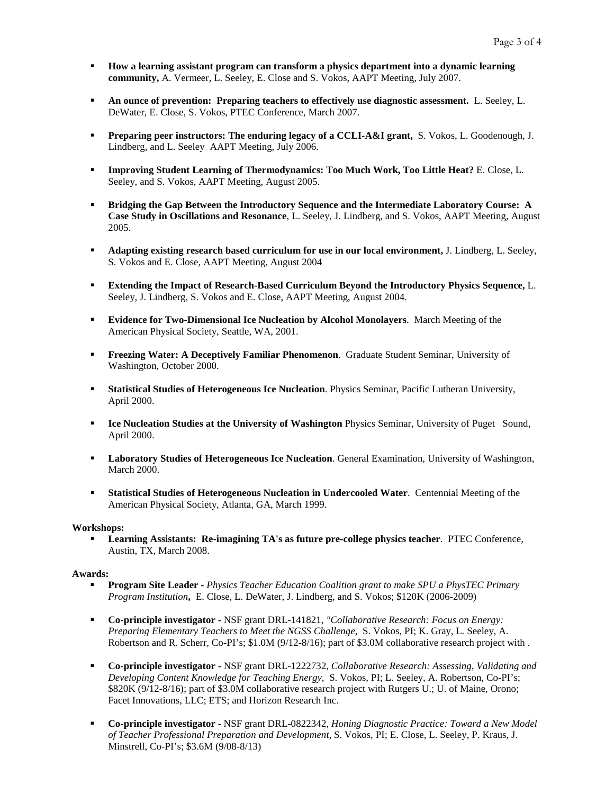- **How a learning assistant program can transform a physics department into a dynamic learning community,** A. Vermeer, L. Seeley, E. Close and S. Vokos, AAPT Meeting, July 2007.
- **An ounce of prevention: Preparing teachers to effectively use diagnostic assessment.** L. Seeley, L. DeWater, E. Close, S. Vokos, PTEC Conference, March 2007.
- **Preparing peer instructors: The enduring legacy of a CCLI-A&I grant,** S. Vokos, L. Goodenough, J. Lindberg, and L. Seeley AAPT Meeting, July 2006.
- **Improving Student Learning of Thermodynamics: Too Much Work, Too Little Heat?** E. Close, L. Seeley, and S. Vokos, AAPT Meeting, August 2005.
- **Bridging the Gap Between the Introductory Sequence and the Intermediate Laboratory Course: A Case Study in Oscillations and Resonance**, L. Seeley, J. Lindberg, and S. Vokos, AAPT Meeting, August 2005.
- **Adapting existing research based curriculum for use in our local environment,** J. Lindberg, L. Seeley, S. Vokos and E. Close, AAPT Meeting, August 2004
- **Extending the Impact of Research-Based Curriculum Beyond the Introductory Physics Sequence,** L. Seeley, J. Lindberg, S. Vokos and E. Close, AAPT Meeting, August 2004.
- **Evidence for Two-Dimensional Ice Nucleation by Alcohol Monolayers**. March Meeting of the American Physical Society, Seattle, WA, 2001.
- **Freezing Water: A Deceptively Familiar Phenomenon**. Graduate Student Seminar, University of Washington, October 2000.
- **Statistical Studies of Heterogeneous Ice Nucleation**. Physics Seminar, Pacific Lutheran University, April 2000.
- **Ice Nucleation Studies at the University of Washington** Physics Seminar, University of Puget Sound, April 2000.
- **Laboratory Studies of Heterogeneous Ice Nucleation**. General Examination, University of Washington, March 2000.
- **Statistical Studies of Heterogeneous Nucleation in Undercooled Water**. Centennial Meeting of the American Physical Society, Atlanta, GA, March 1999.

### **Workshops:**

 **Learning Assistants: Re-imagining TA's as future pre-college physics teacher**. PTEC Conference, Austin, TX, March 2008.

### **Awards:**

- **Program Site Leader** *Physics Teacher Education Coalition grant to make SPU a PhysTEC Primary Program Institution***,** E. Close, L. DeWater, J. Lindberg, and S. Vokos; \$120K (2006-2009)
- **Co-principle investigator** NSF grant DRL-141821, *"Collaborative Research: Focus on Energy: Preparing Elementary Teachers to Meet the NGSS Challenge,* S. Vokos, PI; K. Gray, L. Seeley, A. Robertson and R. Scherr, Co-PI's; \$1.0M (9/12-8/16); part of \$3.0M collaborative research project with .
- **Co-principle investigator** NSF grant DRL-1222732, *Collaborative Research: Assessing, Validating and Developing Content Knowledge for Teaching Energy,* S. Vokos, PI; L. Seeley, A. Robertson, Co-PI's; \$820K (9/12-8/16); part of \$3.0M collaborative research project with Rutgers U.; U. of Maine, Orono; Facet Innovations, LLC; ETS; and Horizon Research Inc.
- **Co-principle investigator** NSF grant DRL-0822342, *Honing Diagnostic Practice: Toward a New Model of Teacher Professional Preparation and Development*, S. Vokos, PI; E. Close, L. Seeley, P. Kraus, J. Minstrell, Co-PI's; \$3.6M (9/08-8/13)